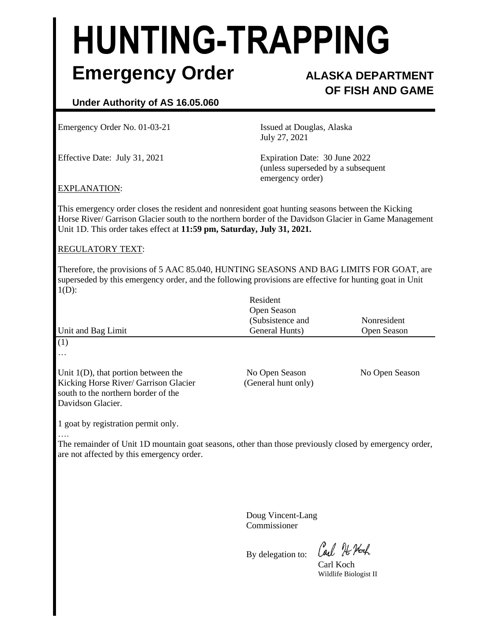# **HUNTING-TRAPPING Emergency Order ALASKA DEPARTMENT**

## **OF FISH AND GAME**

### **Under Authority of AS 16.05.060**

Emergency Order No. 01-03-21 Issued at Douglas, Alaska

July 27, 2021

Effective Date: July 31, 2021 Expiration Date: 30 June 2022 (unless superseded by a subsequent emergency order)

#### EXPLANATION:

This emergency order closes the resident and nonresident goat hunting seasons between the Kicking Horse River/ Garrison Glacier south to the northern border of the Davidson Glacier in Game Management Unit 1D. This order takes effect at **11:59 pm, Saturday, July 31, 2021.**

#### REGULATORY TEXT:

Therefore, the provisions of 5 AAC 85.040, HUNTING SEASONS AND BAG LIMITS FOR GOAT, are superseded by this emergency order, and the following provisions are effective for hunting goat in Unit  $1(D)$ :

|                                                                              | Resident<br>Open Season            | Nonresident<br>Open Season |
|------------------------------------------------------------------------------|------------------------------------|----------------------------|
| Unit and Bag Limit                                                           | (Subsistence and<br>General Hunts) |                            |
|                                                                              |                                    |                            |
| $\cdots$                                                                     |                                    |                            |
| Unit $1(D)$ , that portion between the                                       | No Open Season                     | No Open Season             |
| Kicking Horse River/ Garrison Glacier<br>south to the northern border of the | (General hunt only)                |                            |
| Davidson Glacier.                                                            |                                    |                            |
| 1 goat by registration permit only.                                          |                                    |                            |

….

The remainder of Unit 1D mountain goat seasons, other than those previously closed by emergency order, are not affected by this emergency order.

> Doug Vincent-Lang Commissioner

By delegation to:

Carl 76 Noch

Carl Koch Wildlife Biologist II